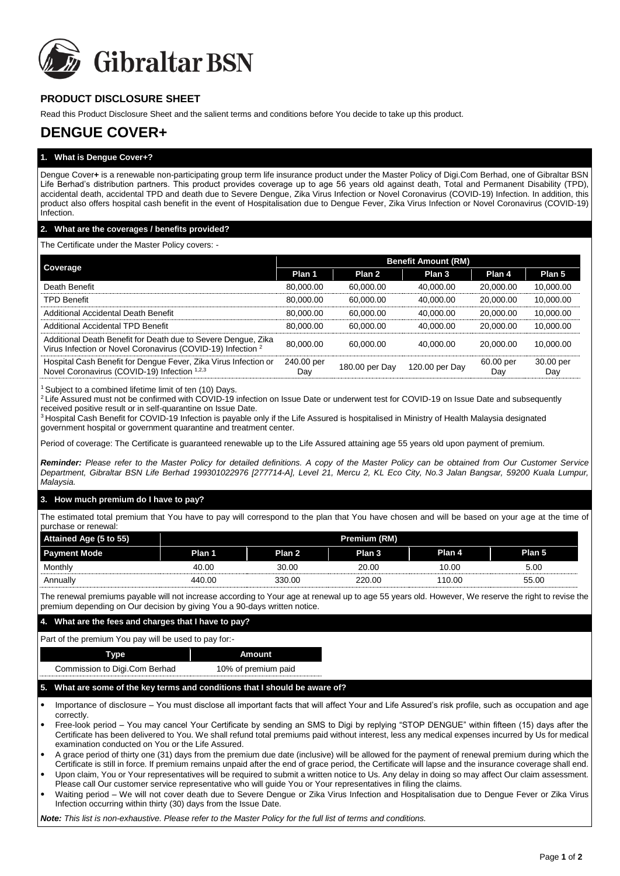

# **PRODUCT DISCLOSURE SHEET**

Read this Product Disclosure Sheet and the salient terms and conditions before You decide to take up this product.

# **DENGUE COVER+**

# **1. What is Dengue Cover+?**

Dengue Cover**+** is a renewable non-participating group term life insurance product under the Master Policy of Digi.Com Berhad, one of Gibraltar BSN Life Berhad's distribution partners. This product provides coverage up to age 56 years old against death, Total and Permanent Disability (TPD), accidental death, accidental TPD and death due to Severe Dengue, Zika Virus Infection or Novel Coronavirus (COVID-19) Infection. In addition, this product also offers hospital cash benefit in the event of Hospitalisation due to Dengue Fever, Zika Virus Infection or Novel Coronavirus (COVID-19) **Infection** 

# **2. What are the coverages / benefits provided?**

#### The Certificate under the Master Policy covers: -

|                                                                                                                                         | <b>Benefit Amount (RM)</b> |                |                |                  |                  |  |
|-----------------------------------------------------------------------------------------------------------------------------------------|----------------------------|----------------|----------------|------------------|------------------|--|
| Coverage                                                                                                                                | Plan 1                     | Plan 2         | Plan 3         | Plan 4           | Plan 5           |  |
| Death Benefit                                                                                                                           | 80,000.00                  | 60.000.00      | 40.000.00      | 20,000,00        | 10,000.00        |  |
| <b>TPD Benefit</b>                                                                                                                      | 80,000.00                  | 60.000.00      | 40.000.00      | 20,000.00        | 10,000.00        |  |
| Additional Accidental Death Benefit                                                                                                     | 80.000.00                  | 60.000.00      | 40.000.00      | 20,000,00        | 10.000.00        |  |
| <b>Additional Accidental TPD Benefit</b>                                                                                                | 80.000.00                  | 60.000.00      | 40.000.00      | 20.000.00        | 10.000.00        |  |
| Additional Death Benefit for Death due to Severe Dengue, Zika<br>Virus Infection or Novel Coronavirus (COVID-19) Infection <sup>2</sup> | 80,000.00                  | 60.000.00      | 40.000.00      | 20,000,00        | 10.000.00        |  |
| Hospital Cash Benefit for Dengue Fever, Zika Virus Infection or<br>Novel Coronavirus (COVID-19) Infection 1,2,3                         | 240.00 per<br>Day          | 180.00 per Day | 120.00 per Day | 60.00 per<br>Day | 30.00 per<br>Day |  |

<sup>1</sup> Subject to a combined lifetime limit of ten (10) Days.

<sup>2</sup> Life Assured must not be confirmed with COVID-19 infection on Issue Date or underwent test for COVID-19 on Issue Date and subsequently received positive result or in self-quarantine on Issue Date.

<sup>3</sup> Hospital Cash Benefit for COVID-19 Infection is payable only if the Life Assured is hospitalised in Ministry of Health Malaysia designated government hospital or government quarantine and treatment center.

Period of coverage: The Certificate is guaranteed renewable up to the Life Assured attaining age 55 years old upon payment of premium*.*

*Reminder: Please refer to the Master Policy for detailed definitions. A copy of the Master Policy can be obtained from Our Customer Service Department, Gibraltar BSN Life Berhad 199301022976 [277714-A], Level 21, Mercu 2, KL Eco City, No.3 Jalan Bangsar, 59200 Kuala Lumpur, Malaysia.*

# **3. How much premium do I have to pay?**

The estimated total premium that You have to pay will correspond to the plan that You have chosen and will be based on your age at the time of purchase or renewal:

| Attained Age (5 to 55) | Premium (RM) |        |         |        |        |  |
|------------------------|--------------|--------|---------|--------|--------|--|
| <b>Payment Mode</b>    | Plan 1       | Plan 2 | Plan 3' | Plan 4 | Plan 5 |  |
| Monthly                | 40.00        | 30.00  | 20.00   | 10.00  | 5.00   |  |
| Annually               | 440.00       | 330.00 | 220.00  | 110.00 | 55.00  |  |

The renewal premiums payable will not increase according to Your age at renewal up to age 55 years old. However, We reserve the right to revise the premium depending on Our decision by giving You a 90-days written notice.

#### **4. What are the fees and charges that I have to pay?**

#### Part of the premium You pay will be used to pay for:-

| Type                          | Amount              |
|-------------------------------|---------------------|
| Commission to Digi.Com Berhad | 10% of premium paid |

#### **5. What are some of the key terms and conditions that I should be aware of?**

• Importance of disclosure – You must disclose all important facts that will affect Your and Life Assured's risk profile, such as occupation and age correctly.

• Free-look period – You may cancel Your Certificate by sending an SMS to Digi by replying "STOP DENGUE" within fifteen (15) days after the Certificate has been delivered to You. We shall refund total premiums paid without interest, less any medical expenses incurred by Us for medical examination conducted on You or the Life Assured.

• A grace period of thirty one (31) days from the premium due date (inclusive) will be allowed for the payment of renewal premium during which the Certificate is still in force. If premium remains unpaid after the end of grace period, the Certificate will lapse and the insurance coverage shall end.

• Upon claim, You or Your representatives will be required to submit a written notice to Us. Any delay in doing so may affect Our claim assessment. Please call Our customer service representative who will guide You or Your representatives in filing the claims.

• Waiting period – We will not cover death due to Severe Dengue or Zika Virus Infection and Hospitalisation due to Dengue Fever or Zika Virus Infection occurring within thirty (30) days from the Issue Date.

*Note: This list is non-exhaustive. Please refer to the Master Policy for the full list of terms and conditions.*